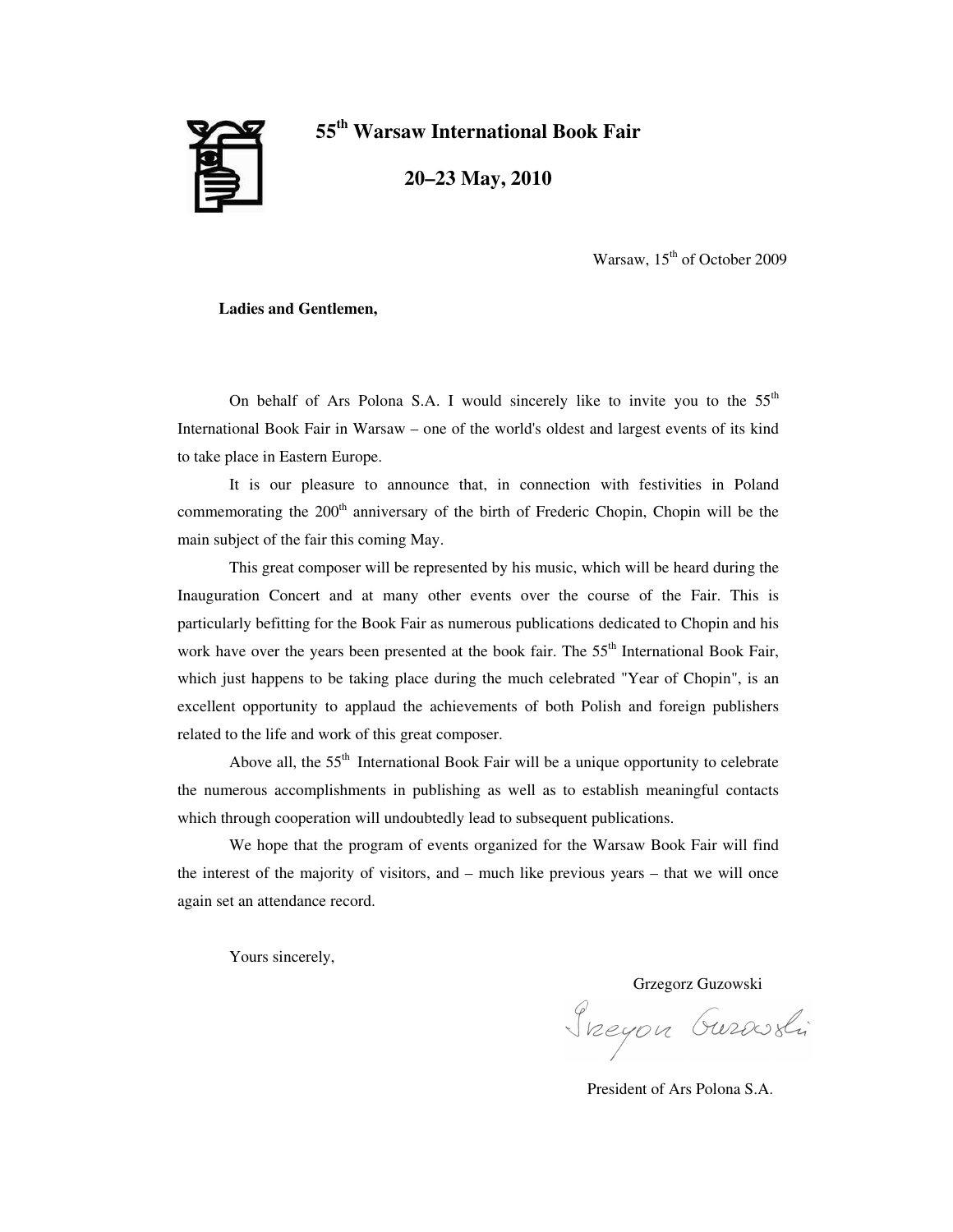

**55 th Warsaw International Book Fair**

**20–23 May, 2010**

Warsaw, 15<sup>th</sup> of October 2009

**Ladies and Gentlemen,**

On behalf of Ars Polona S.A. I would sincerely like to invite you to the  $55<sup>th</sup>$ International Book Fair in Warsaw – one of the world's oldest and largest events of its kind to take place in Eastern Europe.

It is our pleasure to announce that, in connection with festivities in Poland commemorating the 200<sup>th</sup> anniversary of the birth of Frederic Chopin, Chopin will be the main subject of the fair this coming May.

This great composer will be represented by his music, which will be heard during the Inauguration Concert and at many other events over the course of the Fair. This is particularly befitting for the Book Fair as numerous publications dedicated to Chopin and his work have over the years been presented at the book fair. The 55<sup>th</sup> International Book Fair, which just happens to be taking place during the much celebrated "Year of Chopin", is an excellent opportunity to applaud the achievements of both Polish and foreign publishers related to the life and work of this great composer.

Above all, the 55<sup>th</sup> International Book Fair will be a unique opportunity to celebrate the numerous accomplishments in publishing as well as to establish meaningful contacts which through cooperation will undoubtedly lead to subsequent publications.

We hope that the program of events organized for the Warsaw Book Fair will find the interest of the majority of visitors, and – much like previous years – that we will once again set an attendance record.

Yours sincerely,

Grzegorz Guzowski

Sneyon Gurosli

President of Ars Polona S.A.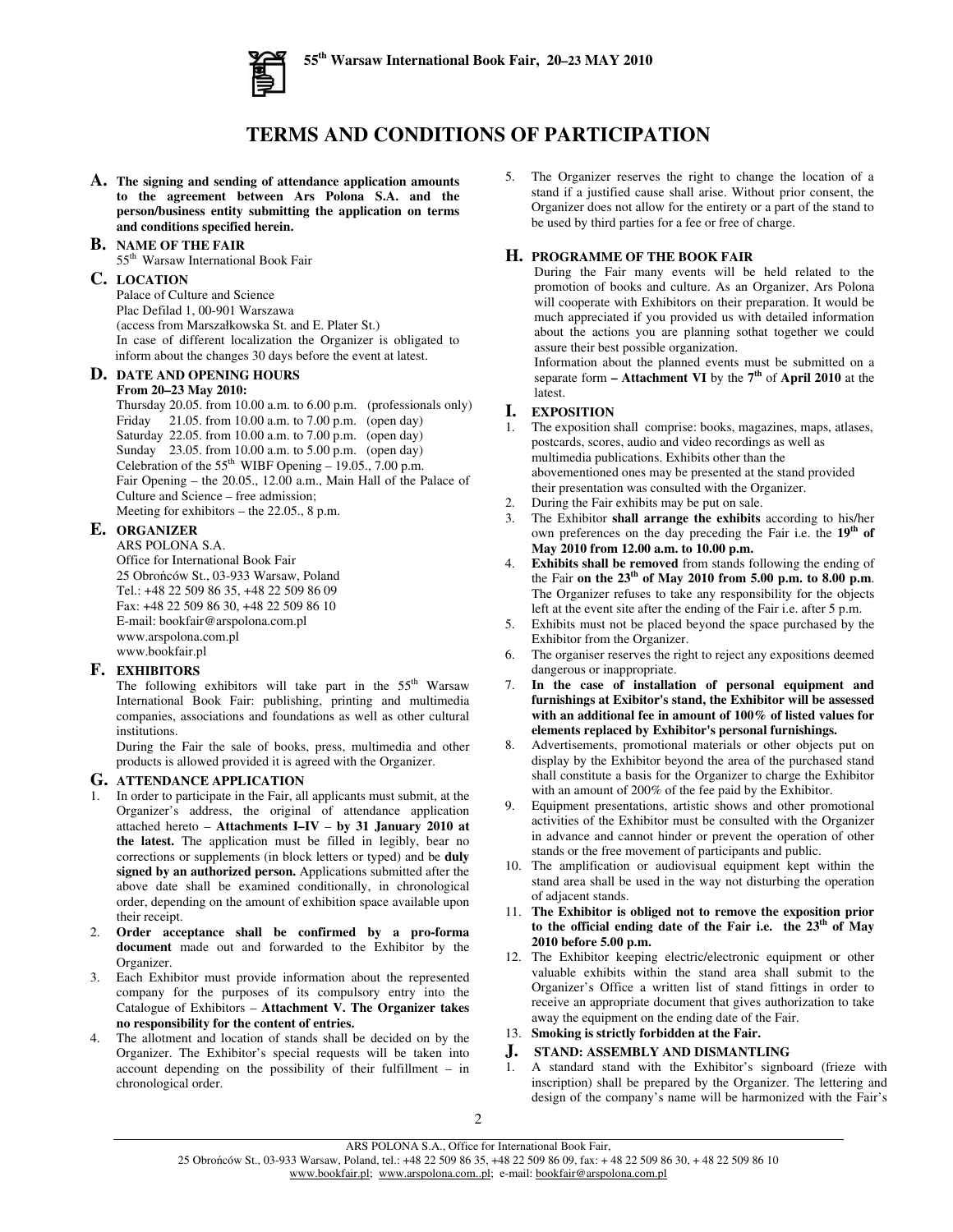

## **TERMS AND CONDITIONS OF PARTICIPATION**

**A. The signing and sending of attendance application amounts to the agreement between Ars Polona S.A. and the person/business entity submitting the application on terms and conditions specified herein.**

### **B. NAME OF THE FAIR**

55<sup>th</sup> Warsaw International Book Fair

### **C. LOCATION**

Palace of Culture and Science Plac Defilad 1, 00-901 Warszawa (access from Marszałkowska St. and E. Plater St.) In case of different localization the Organizer is obligated to inform about the changes 30 days before the event at latest.

### **D. DATE AND OPENING HOURS**

### **From 20–23 May 2010:**

Thursday 20.05. from 10.00 a.m. to 6.00 p.m. (professionals only) Friday 21.05. from 10.00 a.m. to 7.00 p.m. (open day) Saturday 22.05. from 10.00 a.m. to 7.00 p.m. (open day) Sunday 23.05. from 10.00 a.m. to 5.00 p.m. (open day) Celebration of the  $55<sup>th</sup>$  WIBF Opening - 19.05., 7.00 p.m. Fair Opening – the 20.05., 12.00 a.m., Main Hall of the Palace of Culture and Science – free admission; Meeting for exhibitors – the 22.05., 8 p.m.

### **E. ORGANIZER**

ARS POLONA S.A. Office for International Book Fair 25 Obrońców St., 03-933 Warsaw, Poland Tel.: +48 22 509 86 35, +48 22 509 86 09 Fax: +48 22 509 86 30, +48 22 509 86 10 E-mail: bookfair@arspolona.com.pl www.arspolona.com.pl www.bookfair.pl

### **F. EXHIBITORS**

The following exhibitors will take part in the  $55<sup>th</sup>$  Warsaw International Book Fair: publishing, printing and multimedia companies, associations and foundations as well as other cultural institutions.

During the Fair the sale of books, press, multimedia and other products is allowed provided it is agreed with the Organizer.

### **G. ATTENDANCE APPLICATION**

- 1. In order to participate in the Fair, all applicants must submit, at the Organizer's address, the original of attendance application attached hereto – **Attachments I–IV** – **by 31 January 2010 at the latest.** The application must be filled in legibly, bear no corrections or supplements (in block letters or typed) and be **duly signed by an authorized person.** Applications submitted after the above date shall be examined conditionally, in chronological order, depending on the amount of exhibition space available upon their receipt.
- 2. **Order acceptance shall be confirmed by a pro-forma document** made out and forwarded to the Exhibitor by the Organizer.
- 3. Each Exhibitor must provide information about the represented company for the purposes of its compulsory entry into the Catalogue of Exhibitors – **Attachment V. The Organizer takes no responsibility for the content of entries.**
- 4. The allotment and location of stands shall be decided on by the Organizer. The Exhibitor's special requests will be taken into account depending on the possibility of their fulfillment – in chronological order.

5. The Organizer reserves the right to change the location of a stand if a justified cause shall arise. Without prior consent, the Organizer does not allow for the entirety or a part of the stand to be used by third parties for a fee or free of charge.

### **H. PROGRAMME OF THE BOOK FAIR**

During the Fair many events will be held related to the promotion of books and culture. As an Organizer, Ars Polona will cooperate with Exhibitors on their preparation. It would be much appreciated if you provided us with detailed information about the actions you are planning sothat together we could assure their best possible organization.

Information about the planned events must be submitted on a separate form **– Attachment VI** by the **7 th** of **April 2010** at the latest.

# **I. EXPOSITION**

- The exposition shall comprise: books, magazines, maps, atlases, postcards, scores, audio and video recordings as well as multimedia publications. Exhibits other than the abovementioned ones may be presented at the stand provided their presentation was consulted with the Organizer.
- 2. During the Fair exhibits may be put on sale.
- 3. The Exhibitor **shall arrange the exhibits** according to his/her own preferences on the day preceding the Fair i.e. the 19<sup>th</sup> of **May 2010 from 12.00 a.m. to 10.00 p.m.**
- 4. **Exhibits shall be removed** from stands following the ending of the Fair **on the 23 th of May 2010 from 5.00 p.m. to 8.00 p.m**. The Organizer refuses to take any responsibility for the objects left at the event site after the ending of the Fair i.e. after 5 p.m.
- 5. Exhibits must not be placed beyond the space purchased by the Exhibitor from the Organizer.
- 6. The organiser reserves the right to reject any expositions deemed dangerous or inappropriate.
- 7. **In the case of installation of personal equipment and furnishings at Exibitor's stand, the Exhibitor will be assessed with an additional fee in amount of 100% of listed values for elements replaced by Exhibitor's personal furnishings.**
- 8. Advertisements, promotional materials or other objects put on display by the Exhibitor beyond the area of the purchased stand shall constitute a basis for the Organizer to charge the Exhibitor with an amount of 200% of the fee paid by the Exhibitor.
- 9. Equipment presentations, artistic shows and other promotional activities of the Exhibitor must be consulted with the Organizer in advance and cannot hinder or prevent the operation of other stands or the free movement of participants and public.
- 10. The amplification or audiovisual equipment kept within the stand area shall be used in the way not disturbing the operation of adjacent stands.
- 11. **The Exhibitor is obliged not to remove the exposition prior to the official ending date of the Fair i.e. the 23 th of May 2010 before 5.00 p.m.**
- 12. The Exhibitor keeping electric/electronic equipment or other valuable exhibits within the stand area shall submit to the Organizer's Office a written list of stand fittings in order to receive an appropriate document that gives authorization to take away the equipment on the ending date of the Fair.

### 13. **Smoking is strictly forbidden at the Fair.**

# **J. STAND: ASSEMBLY AND DISMANTLING**

1. A standard stand with the Exhibitor's signboard (frieze with inscription) shall be prepared by the Organizer. The lettering and design of the company's name will be harmonized with the Fair's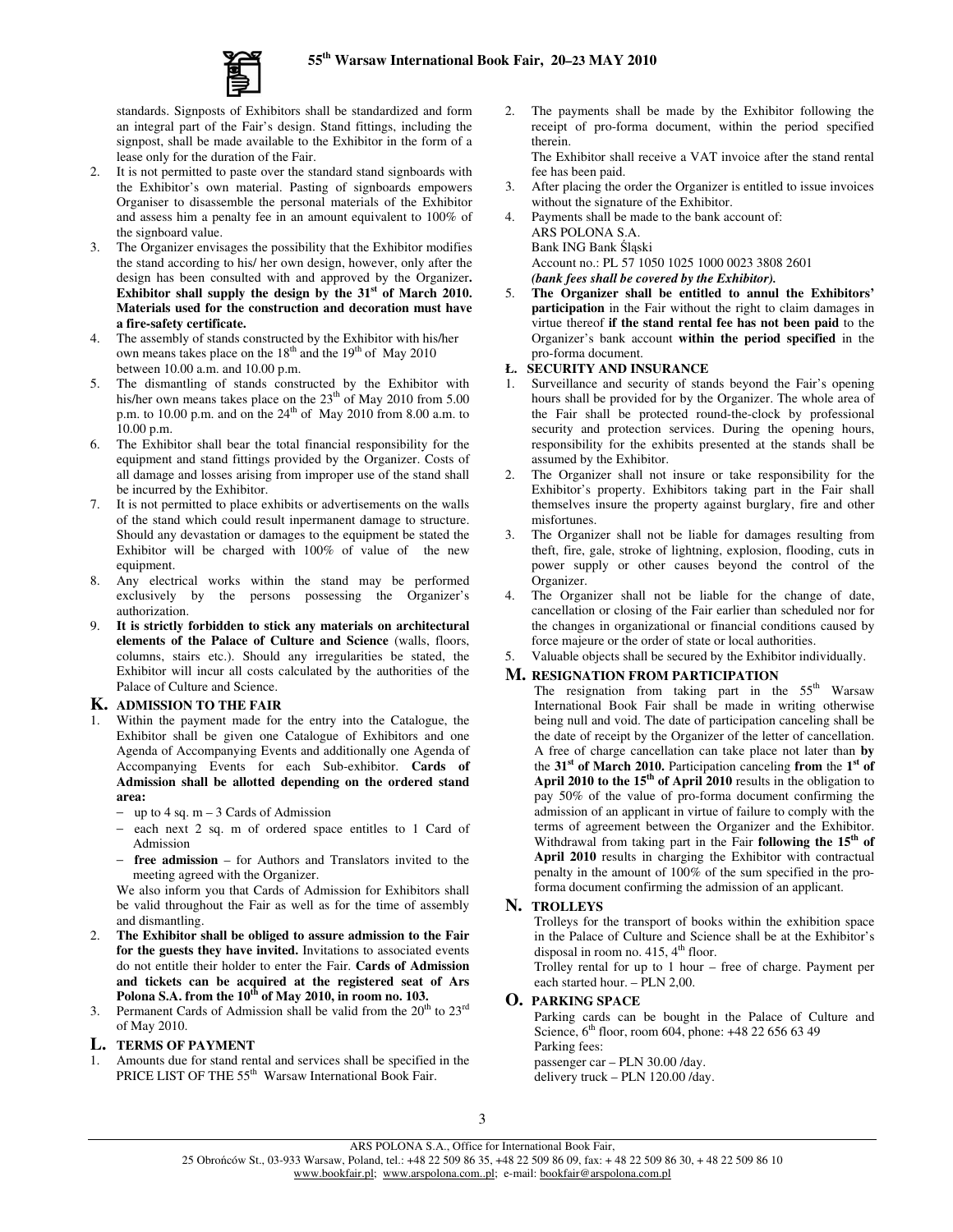

standards. Signposts of Exhibitors shall be standardized and form an integral part of the Fair's design. Stand fittings, including the signpost, shall be made available to the Exhibitor in the form of a lease only for the duration of the Fair.

- 2. It is not permitted to paste over the standard stand signboards with the Exhibitor's own material. Pasting of signboards empowers Organiser to disassemble the personal materials of the Exhibitor and assess him a penalty fee in an amount equivalent to 100% of the signboard value.
- 3. The Organizer envisages the possibility that the Exhibitor modifies the stand according to his/ her own design, however, only after the design has been consulted with and approved by the Organizer**. Exhibitor shall supply the design by the 31 st of March 2010. Materials used for the construction and decoration must have a fire-safety certificate.**
- 4. The assembly of stands constructed by the Exhibitor with his/her own means takes place on the  $18<sup>th</sup>$  and the  $19<sup>th</sup>$  of May 2010 between 10.00 a.m. and 10.00 p.m.
- 5. The dismantling of stands constructed by the Exhibitor with his/her own means takes place on the  $23<sup>th</sup>$  of May 2010 from 5.00 p.m. to 10.00 p.m. and on the 24<sup>th</sup> of May 2010 from 8.00 a.m. to 10.00 p.m.
- 6. The Exhibitor shall bear the total financial responsibility for the equipment and stand fittings provided by the Organizer. Costs of all damage and losses arising from improper use of the stand shall be incurred by the Exhibitor.
- 7. It is not permitted to place exhibits or advertisements on the walls of the stand which could result inpermanent damage to structure. Should any devastation or damages to the equipment be stated the Exhibitor will be charged with 100% of value of the new equipment.
- 8. Any electrical works within the stand may be performed exclusively by the persons possessing the Organizer's authorization.
- 9. **It is strictly forbidden to stick any materials on architectural elements of the Palace of Culture and Science** (walls, floors, columns, stairs etc.). Should any irregularities be stated, the Exhibitor will incur all costs calculated by the authorities of the Palace of Culture and Science.

### **K. ADMISSION TO THE FAIR**

- Within the payment made for the entry into the Catalogue, the Exhibitor shall be given one Catalogue of Exhibitors and one Agenda of Accompanying Events and additionally one Agenda of Accompanying Events for each Sub-exhibitor. **Cards of Admission shall be allotted depending on the ordered stand area:**
	- − up to 4 sq. m 3 Cards of Admission
	- − each next 2 sq. m of ordered space entitles to 1 Card of Admission
	- − **free admission** for Authors and Translators invited to the meeting agreed with the Organizer.

We also inform you that Cards of Admission for Exhibitors shall be valid throughout the Fair as well as for the time of assembly and dismantling.

- 2. **The Exhibitor shall be obliged to assure admission to the Fair for the guests they have invited.** Invitations to associated events do not entitle their holder to enter the Fair. **Cards of Admission and tickets can be acquired at the registered seat of Ars Polona S.A. from the 10 th of May 2010, in room no. 103.**
- 3. Permanent Cards of Admission shall be valid from the  $20<sup>th</sup>$  to  $23<sup>rd</sup>$ of May 2010.

### **L. TERMS OF PAYMENT**

1. Amounts due for stand rental and services shall be specified in the PRICE LIST OF THE 55<sup>th</sup> Warsaw International Book Fair.

2. The payments shall be made by the Exhibitor following the receipt of pro-forma document, within the period specified therein.

The Exhibitor shall receive a VAT invoice after the stand rental fee has been paid.

- 3. After placing the order the Organizer is entitled to issue invoices without the signature of the Exhibitor.
- Payments shall be made to the bank account of: ARS POLONA S.A. Bank ING Bank Śląski Account no.: PL 57 1050 1025 1000 0023 3808 2601 *(bank fees shall be covered by the Exhibitor).*
- 5. **The Organizer shall be entitled to annul the Exhibitors' participation** in the Fair without the right to claim damages in virtue thereof **if the stand rental fee has not been paid** to the Organizer's bank account **within the period specified** in the pro-forma document.

### **Ł. SECURITY AND INSURANCE**

- 1. Surveillance and security of stands beyond the Fair's opening hours shall be provided for by the Organizer. The whole area of the Fair shall be protected round-the-clock by professional security and protection services. During the opening hours, responsibility for the exhibits presented at the stands shall be assumed by the Exhibitor.
- 2. The Organizer shall not insure or take responsibility for the Exhibitor's property. Exhibitors taking part in the Fair shall themselves insure the property against burglary, fire and other misfortunes.
- 3. The Organizer shall not be liable for damages resulting from theft, fire, gale, stroke of lightning, explosion, flooding, cuts in power supply or other causes beyond the control of the Organizer.
- 4. The Organizer shall not be liable for the change of date, cancellation or closing of the Fair earlier than scheduled nor for the changes in organizational or financial conditions caused by force majeure or the order of state or local authorities.
- 5. Valuable objects shall be secured by the Exhibitor individually.

### **M. RESIGNATION FROM PARTICIPATION**

The resignation from taking part in the  $55<sup>th</sup>$  Warsaw International Book Fair shall be made in writing otherwise being null and void. The date of participation canceling shall be the date of receipt by the Organizer of the letter of cancellation. A free of charge cancellation can take place not later than **by** the **31 st of March 2010.** Participation canceling **from** the **1 st of April 2010 to the 15 th of April 2010** results in the obligation to pay 50% of the value of pro-forma document confirming the admission of an applicant in virtue of failure to comply with the terms of agreement between the Organizer and the Exhibitor. Withdrawal from taking part in the Fair **following the 15 th of April 2010** results in charging the Exhibitor with contractual penalty in the amount of 100% of the sum specified in the proforma document confirming the admission of an applicant.

### **N. TROLLEYS**

Trolleys for the transport of books within the exhibition space in the Palace of Culture and Science shall be at the Exhibitor's disposal in room no.  $415, 4<sup>th</sup>$  floor.

Trolley rental for up to 1 hour – free of charge. Payment per each started hour. – PLN 2,00.

### **O. PARKING SPACE**

Parking cards can be bought in the Palace of Culture and Science, 6<sup>th</sup> floor, room 604, phone: +48 22 656 63 49 Parking fees: passenger car – PLN 30.00 /day.

delivery truck – PLN 120.00 /day.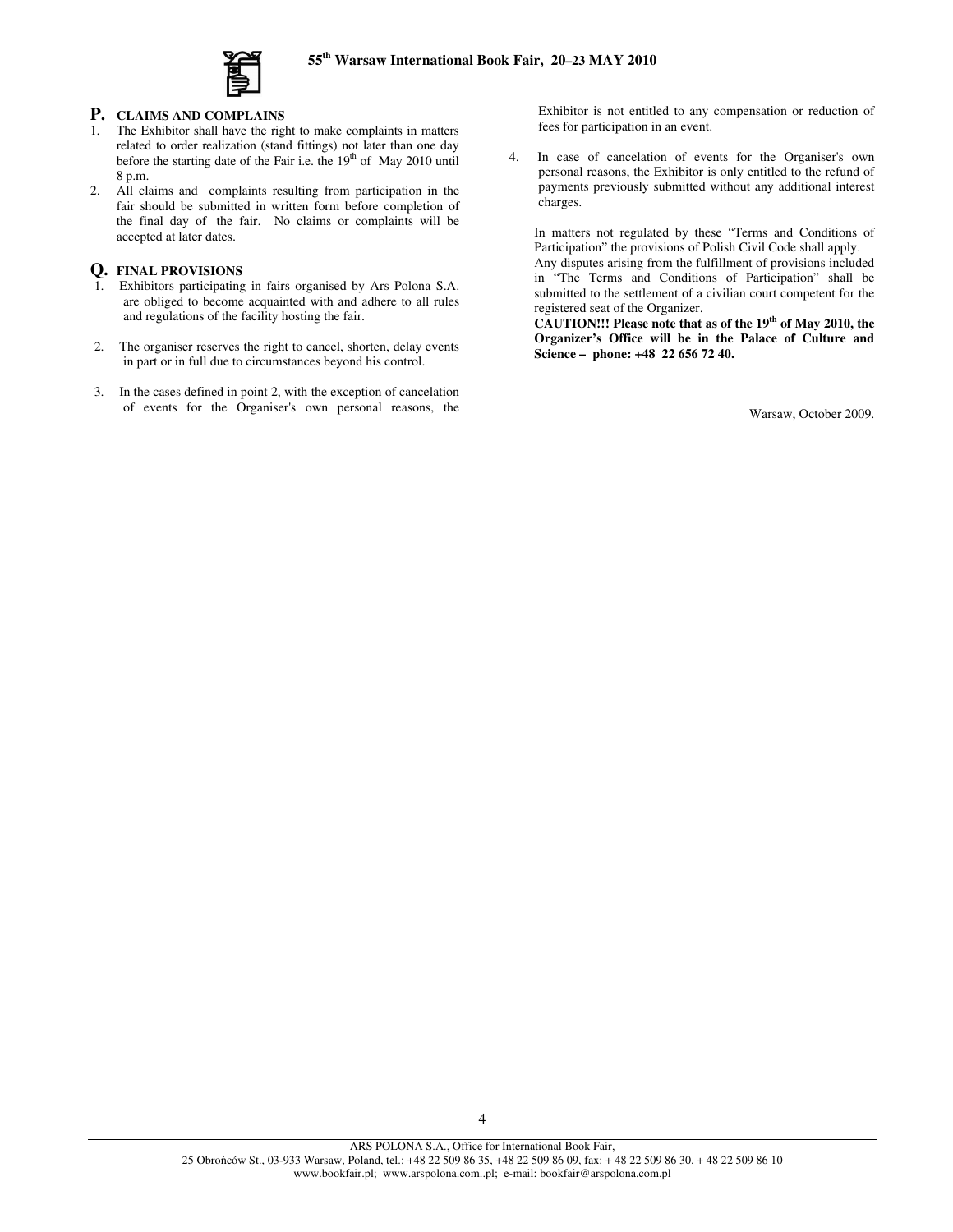

### **P. CLAIMS AND COMPLAINS**

- 1. The Exhibitor shall have the right to make complaints in matters related to order realization (stand fittings) not later than one day before the starting date of the Fair i.e. the 19<sup>th</sup> of May 2010 until 8 p.m.
- 2. All claims and complaints resulting from participation in the fair should be submitted in written form before completion of the final day of the fair. No claims or complaints will be accepted at later dates.

### **Q. FINAL PROVISIONS**

- 1. Exhibitors participating in fairs organised by Ars Polona S.A. are obliged to become acquainted with and adhere to all rules and regulations of the facility hosting the fair.
- 2. The organiser reserves the right to cancel, shorten, delay events in part or in full due to circumstances beyond his control.
- 3. In the cases defined in point 2, with the exception of cancelation of events for the Organiser's own personal reasons, the

Exhibitor is not entitled to any compensation or reduction of fees for participation in an event.

4. In case of cancelation of events for the Organiser's own personal reasons, the Exhibitor is only entitled to the refund of payments previously submitted without any additional interest charges.

In matters not regulated by these "Terms and Conditions of Participation" the provisions of Polish Civil Code shall apply. Any disputes arising from the fulfillment of provisions included in "The Terms and Conditions of Participation" shall be submitted to the settlement of a civilian court competent for the registered seat of the Organizer.

**CAUTION!!! Please note that as of the 19 th of May 2010, the Organizer's Office will be in the Palace of Culture and Science – phone: +48 22 656 72 40.**

Warsaw, October 2009.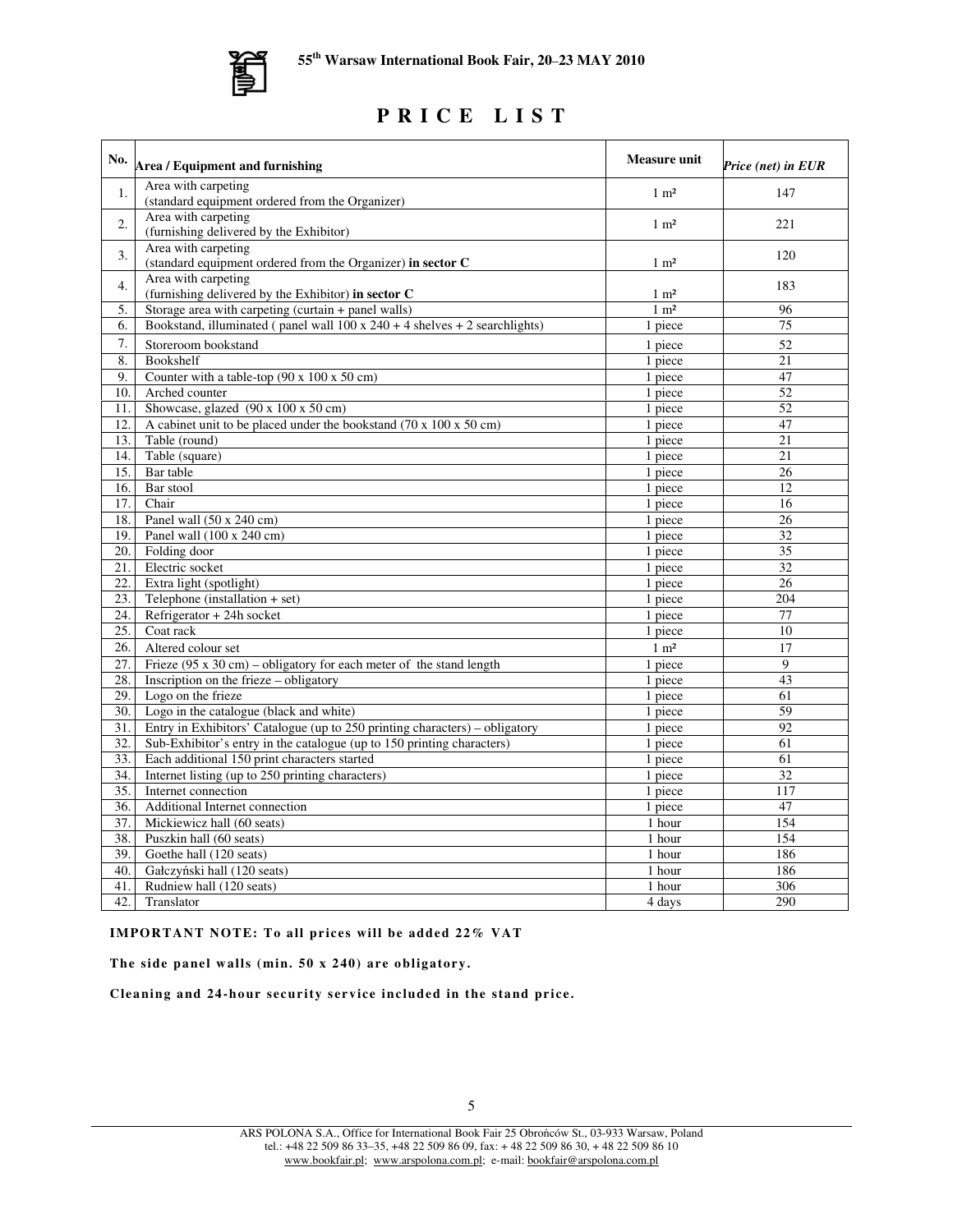

# **P R I C E L I S T**

| No.              | Area / Equipment and furnishing                                                        | <b>Measure unit</b> | Price (net) in EUR |
|------------------|----------------------------------------------------------------------------------------|---------------------|--------------------|
| 1.               | Area with carpeting                                                                    | $1 \text{ m}^2$     | 147                |
|                  | (standard equipment ordered from the Organizer)                                        |                     |                    |
| 2.               | Area with carpeting                                                                    | $1 \text{ m}^2$     | 221                |
|                  | (furnishing delivered by the Exhibitor)                                                |                     |                    |
| 3.               | Area with carpeting                                                                    |                     | 120                |
|                  | (standard equipment ordered from the Organizer) in sector C<br>Area with carpeting     | $1 \text{ m}^2$     |                    |
| $\overline{4}$ . | (furnishing delivered by the Exhibitor) in sector C                                    | $1 \text{ m}^2$     | 183                |
| 5.               | Storage area with carpeting (curtain + panel walls)                                    | $1 \text{ m}^2$     | 96                 |
| 6.               | Bookstand, illuminated (panel wall $100 \times 240 + 4$ shelves $+ 2$ searchlights)    | 1 piece             | 75                 |
| 7.               | Storeroom bookstand                                                                    | 1 piece             | 52                 |
| 8.               | Bookshelf                                                                              | 1 piece             | 21                 |
| 9.               | Counter with a table-top (90 x 100 x 50 cm)                                            | 1 piece             | 47                 |
| 10.              | Arched counter                                                                         | 1 piece             | 52                 |
| 11.              | Showcase, glazed $(90 \times 100 \times 50 \text{ cm})$                                | 1 piece             | 52                 |
| 12.              | A cabinet unit to be placed under the bookstand $(70 \times 100 \times 50 \text{ cm})$ | 1 piece             | 47                 |
| 13.              | Table (round)                                                                          | 1 piece             | 21                 |
| 14.              | Table (square)                                                                         | 1 piece             | 21                 |
| 15.              | Bar table                                                                              | 1 piece             | 26                 |
| 16.              | Bar stool                                                                              | 1 piece             | 12                 |
| 17.              | Chair                                                                                  | 1 piece             | 16                 |
| 18.              | Panel wall (50 x 240 cm)                                                               | 1 piece             | 26                 |
| 19.              | Panel wall (100 x 240 cm)                                                              | 1 piece             | 32                 |
| 20.              | Folding door                                                                           | 1 piece             | 35                 |
| 21.              | Electric socket                                                                        | 1 piece             | 32                 |
| 22.              | Extra light (spotlight)                                                                | 1 piece             | 26                 |
| 23.              | Telephone (installation $+$ set)                                                       | 1 piece             | 204                |
| 24.              | Refrigerator + 24h socket                                                              | 1 piece             | 77                 |
| 25.              | Coat rack                                                                              | 1 piece             | 10                 |
| 26.              | Altered colour set                                                                     | $1 \text{ m}^2$     | 17                 |
| 27.              | Frieze $(95 \times 30 \text{ cm})$ – obligatory for each meter of the stand length     | 1 piece             | $\mathbf Q$        |
| 28.              | Inscription on the frieze – obligatory                                                 | 1 piece             | 43                 |
| 29.              | Logo on the frieze                                                                     | 1 piece             | 61                 |
| 30.              | Logo in the catalogue (black and white)                                                | 1 piece             | 59                 |
| 31.              | Entry in Exhibitors' Catalogue (up to 250 printing characters) – obligatory            | 1 piece             | 92                 |
| 32.              | Sub-Exhibitor's entry in the catalogue (up to 150 printing characters)                 | 1 piece             | 61                 |
| 33.              | Each additional 150 print characters started                                           | 1 piece             | 61                 |
| 34.              | Internet listing (up to 250 printing characters)                                       | 1 piece             | 32                 |
| 35.              | Internet connection                                                                    | 1 piece             | 117                |
| 36.              | Additional Internet connection                                                         | 1 piece             | 47                 |
| 37.              | Mickiewicz hall (60 seats)                                                             | 1 hour              | 154                |
| 38.              | Puszkin hall (60 seats)                                                                | 1 hour              | 154                |
| 39.              | Goethe hall (120 seats)                                                                | 1 hour              | 186                |
| 40.              | Gałczyński hall (120 seats)                                                            | 1 hour              | 186                |
| 41.              | Rudniew hall (120 seats)                                                               | 1 hour              | 306                |
| 42.              | Translator                                                                             | 4 days              | 290                |

**IMPORTANT NOTE: To all pr ic e s will be added 22% VAT**

**The side pane l walls (min. 50 x 240) are obligatory.**

**Cleaning and 24-hour secur ity s ervice inc luded in the stand pr i ce .**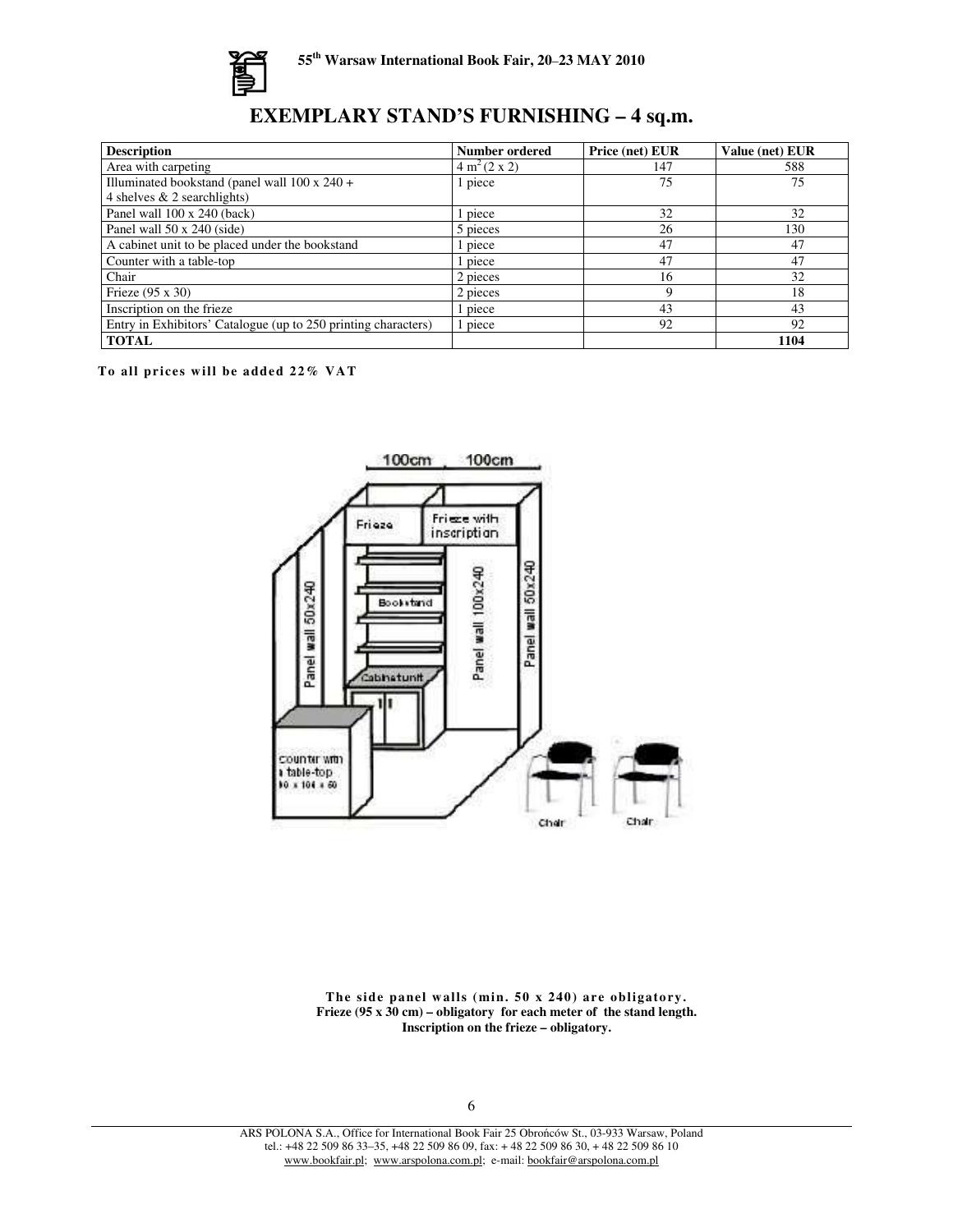

# **EXEMPLARY STAND'S FURNISHING – 4 sq.m.**

| <b>Description</b>                                             | <b>Number ordered</b>    | Price (net) EUR | <b>Value (net) EUR</b> |
|----------------------------------------------------------------|--------------------------|-----------------|------------------------|
| Area with carpeting                                            | 4 m <sup>2</sup> (2 x 2) | 147             | 588                    |
| Illuminated bookstand (panel wall $100 \times 240 +$           | piece                    | 75              | 75                     |
| 4 shelves $& 2$ searchlights)                                  |                          |                 |                        |
| Panel wall 100 x 240 (back)                                    | piece                    | 32              | 32                     |
| Panel wall 50 x 240 (side)                                     | 5 pieces                 | 26              | 130                    |
| A cabinet unit to be placed under the bookstand                | piece                    | 47              | 47                     |
| Counter with a table-top                                       | piece                    | 47              | 47                     |
| Chair                                                          | 2 pieces                 | 16              | 32                     |
| Frieze $(95 \times 30)$                                        | 2 pieces                 |                 | 18                     |
| Inscription on the frieze                                      | piece                    | 43              | 43                     |
| Entry in Exhibitors' Catalogue (up to 250 printing characters) | piece                    | 92              | 92                     |
| <b>TOTAL</b>                                                   |                          |                 | 1104                   |

**To all pr i ces will be added 22% VAT**



**The side pane l walls (min. 50 x 240) are obligatory. Frieze (95 x 30 cm) – obligatory for each meter of the stand length. Inscription on the frieze – obligatory.**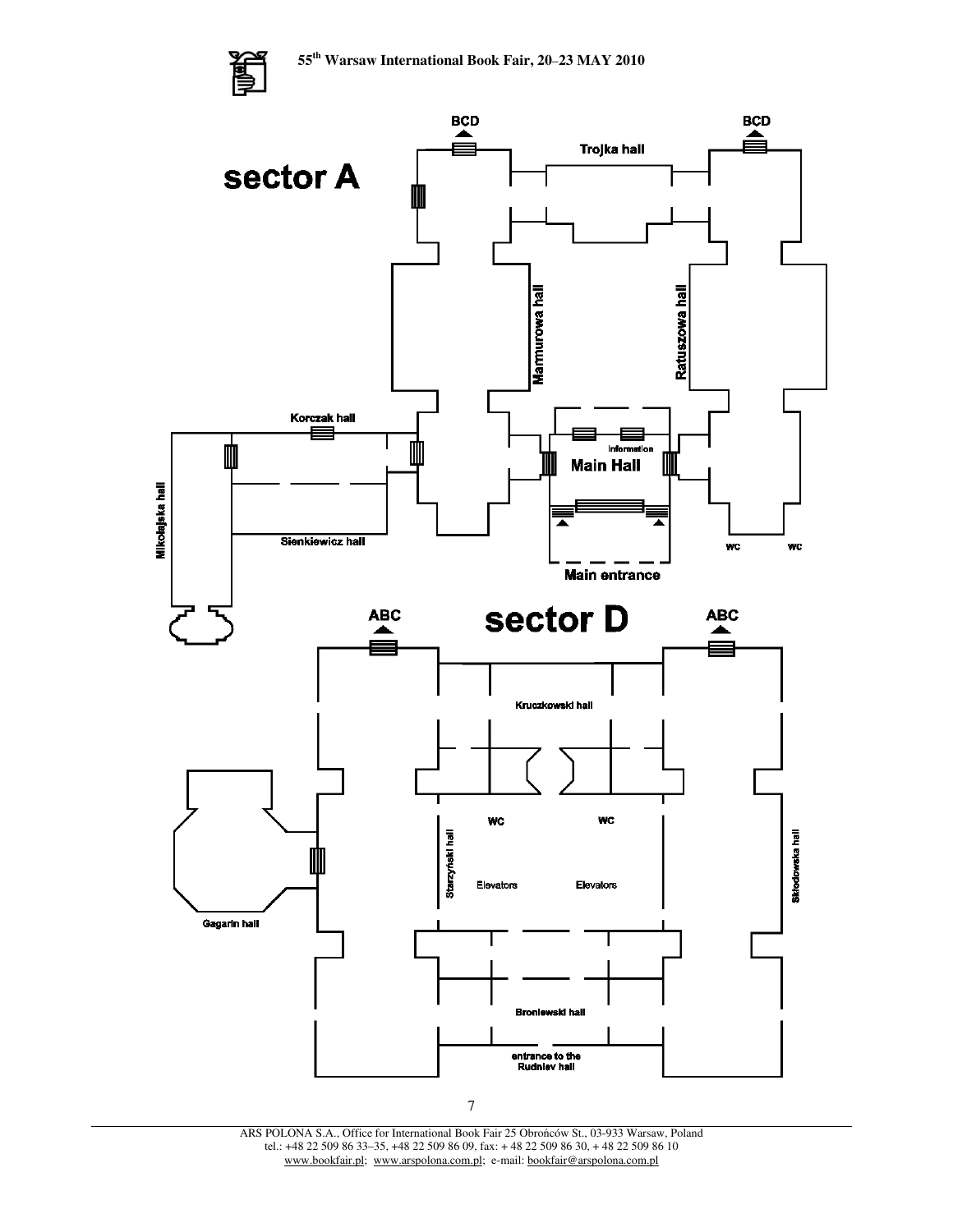

ARS POLONA S.A., Office for International Book Fair 25 Obroców St., 03-933 Warsaw, Poland tel.: +48 22 509 86 33–35, +48 22 509 86 09, fax: + 48 22 509 86 30, + 48 22 509 86 10 www.bookfair.pl; www.arspolona.com.pl; e-mail: bookfair@arspolona.com.pl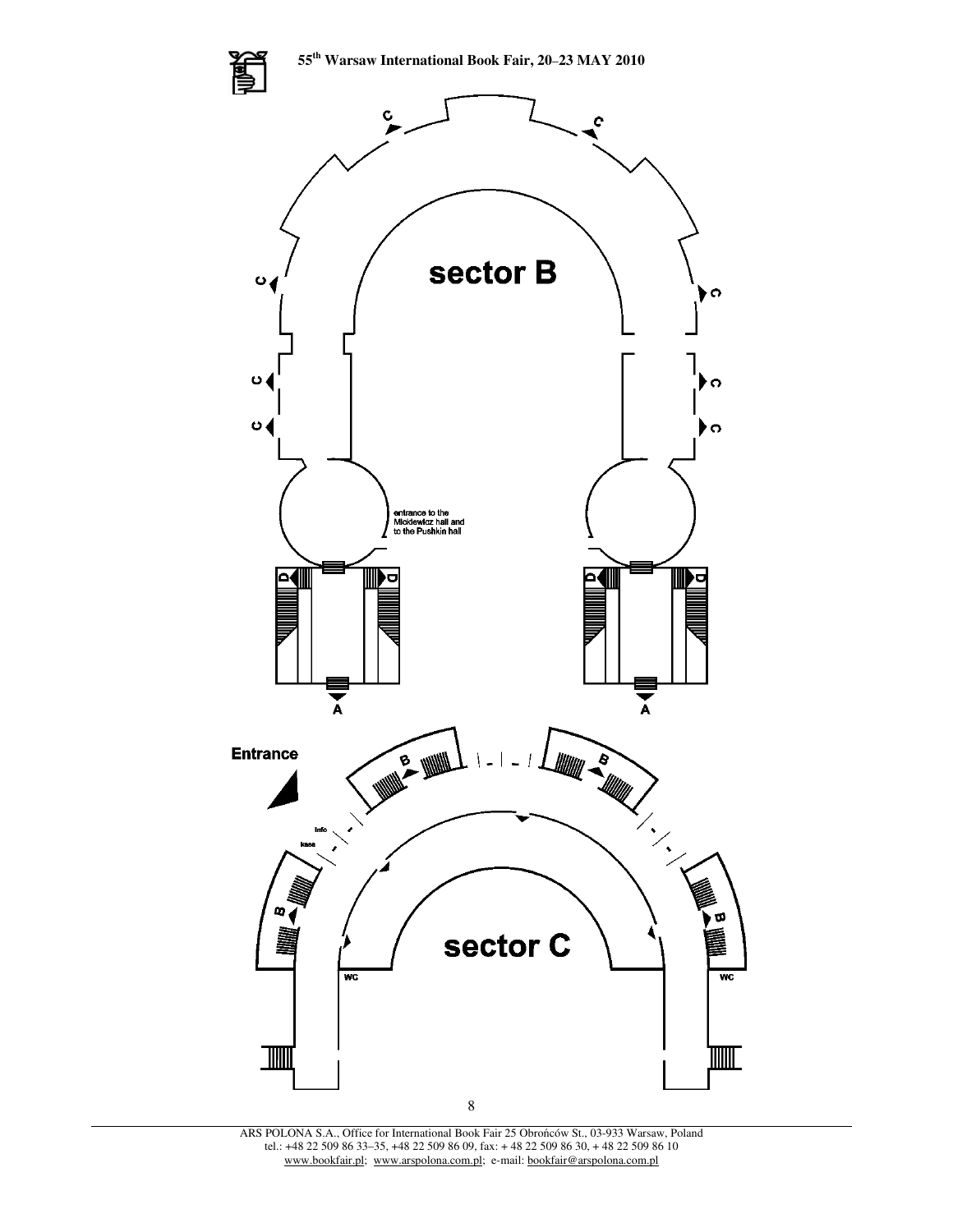

ARS POLONA S.A., Office for International Book Fair 25 Obrońców St., 03-933 Warsaw, Poland tel.: +48 22 509 86 33–35, +48 22 509 86 09, fax: + 48 22 509 86 30, + 48 22 509 86 10 www.bookfair.pl; www.arspolona.com.pl; e-mail: bookfair@arspolona.com.pl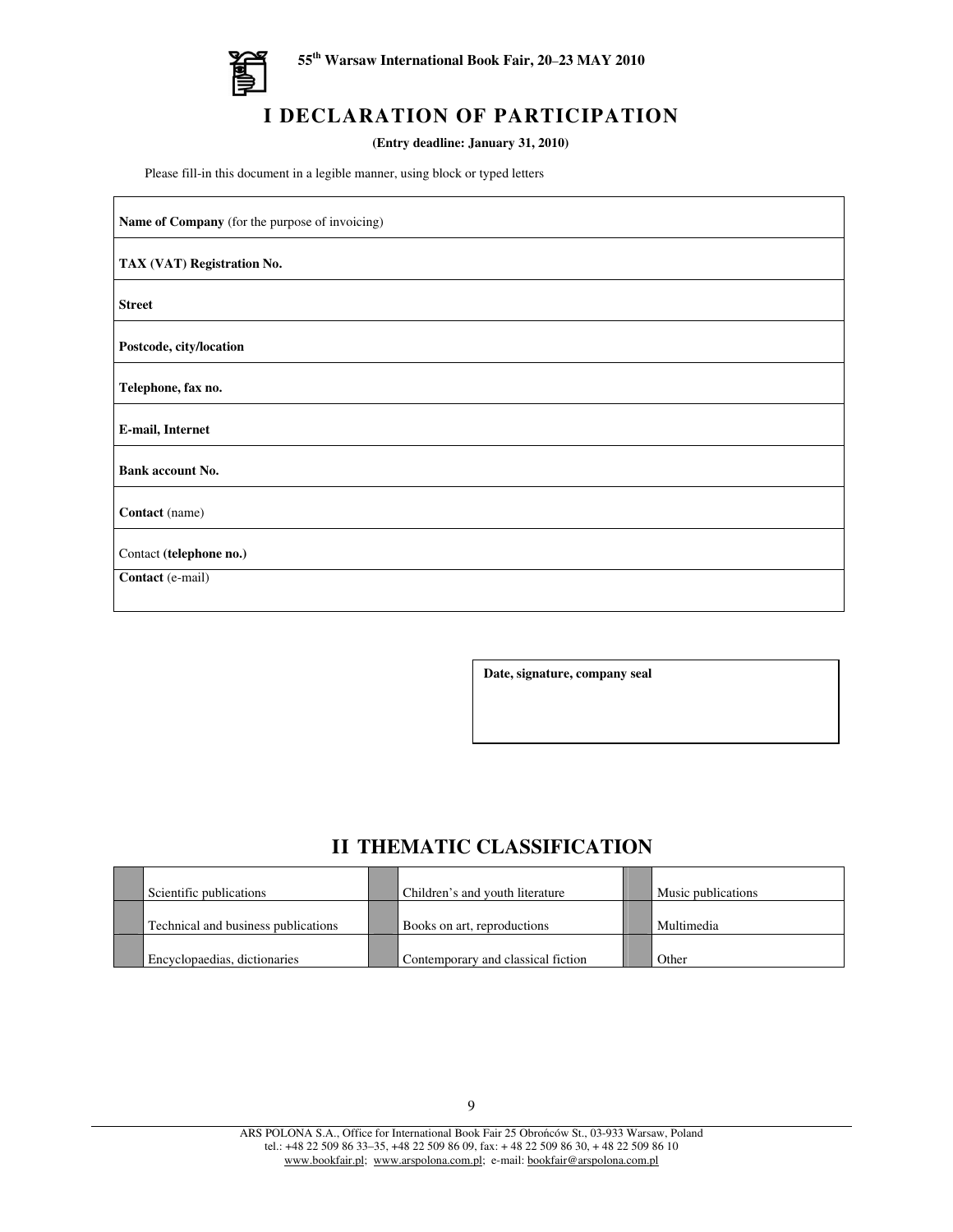

 $\mathbf{r}$ 

# **I DECLARATION OF PARTICIPATION**

**(Entry deadline: January 31, 2010)**

Please fill-in this document in a legible manner, using block or typed letters

| Name of Company (for the purpose of invoicing) |
|------------------------------------------------|
| TAX (VAT) Registration No.                     |
| <b>Street</b>                                  |
| Postcode, city/location                        |
| Telephone, fax no.                             |
| E-mail, Internet                               |
| Bank account No.                               |
| Contact (name)                                 |
| Contact (telephone no.)                        |
| Contact (e-mail)                               |

**Date, signature, company seal**

## **II THEMATIC CLASSIFICATION**

| Scientific publications             | Children's and youth literature    | Music publications |
|-------------------------------------|------------------------------------|--------------------|
| Technical and business publications | Books on art, reproductions        | Multimedia         |
| Encyclopaedias, dictionaries        | Contemporary and classical fiction | Other              |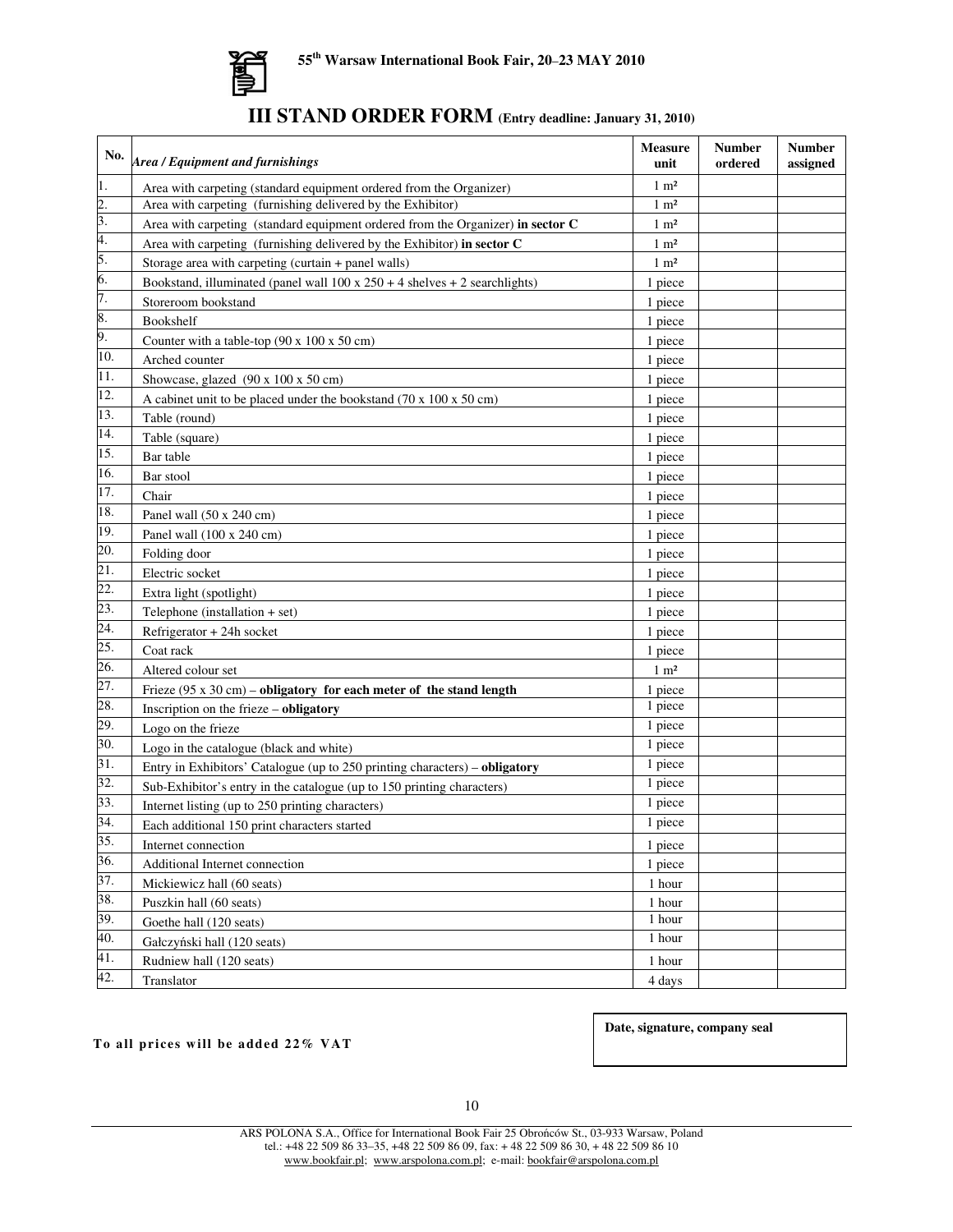

| <b>III STAND ORDER FORM</b> (Entry deadline: January 31, 2010) |  |
|----------------------------------------------------------------|--|
|----------------------------------------------------------------|--|

| No.               | Area / Equipment and furnishings                                                       | <b>Measure</b><br>unit | <b>Number</b><br>ordered | <b>Number</b><br>assigned |
|-------------------|----------------------------------------------------------------------------------------|------------------------|--------------------------|---------------------------|
| 1.                | Area with carpeting (standard equipment ordered from the Organizer)                    | $1 \text{ m}^2$        |                          |                           |
| $\mathbf{2}$ .    | Area with carpeting (furnishing delivered by the Exhibitor)                            | $1 \text{ m}^2$        |                          |                           |
| 3.                | Area with carpeting (standard equipment ordered from the Organizer) in sector C        | $1 \text{ m}^2$        |                          |                           |
| 4.                | Area with carpeting (furnishing delivered by the Exhibitor) in sector C                | $1 \text{ m}^2$        |                          |                           |
| 5.                | Storage area with carpeting (curtain + panel walls)                                    | $1 \text{ m}^2$        |                          |                           |
| 6.                | Bookstand, illuminated (panel wall $100 \times 250 + 4$ shelves + 2 searchlights)      | 1 piece                |                          |                           |
| 7.                | Storeroom bookstand                                                                    | 1 piece                |                          |                           |
| 8.                | Bookshelf                                                                              | 1 piece                |                          |                           |
| 9.                | Counter with a table-top $(90 \times 100 \times 50 \text{ cm})$                        | 1 piece                |                          |                           |
| 10.               | Arched counter                                                                         | 1 piece                |                          |                           |
| 11.               | Showcase, glazed $(90 \times 100 \times 50 \text{ cm})$                                | 1 piece                |                          |                           |
| 12.               | A cabinet unit to be placed under the bookstand $(70 \times 100 \times 50 \text{ cm})$ | 1 piece                |                          |                           |
| 13.               | Table (round)                                                                          | 1 piece                |                          |                           |
| 14.               | Table (square)                                                                         | 1 piece                |                          |                           |
| 15.               | Bar table                                                                              | 1 piece                |                          |                           |
| 16.               | Bar stool                                                                              | 1 piece                |                          |                           |
| 17.               | Chair                                                                                  | 1 piece                |                          |                           |
| 18.               | Panel wall (50 x 240 cm)                                                               | 1 piece                |                          |                           |
| 19.               | Panel wall (100 x 240 cm)                                                              | 1 piece                |                          |                           |
| 20.               | Folding door                                                                           | 1 piece                |                          |                           |
| 21.               | Electric socket                                                                        | 1 piece                |                          |                           |
| 22.               | Extra light (spotlight)                                                                | 1 piece                |                          |                           |
| 23.               | Telephone (installation $+ set$ )                                                      | 1 piece                |                          |                           |
| $\overline{24}$ . | Refrigerator + 24h socket                                                              | 1 piece                |                          |                           |
| 25.               | Coat rack                                                                              | 1 piece                |                          |                           |
| 26.               | Altered colour set                                                                     | $1 \text{ m}^2$        |                          |                           |
| 27.               | Frieze $(95 \times 30 \text{ cm})$ – obligatory for each meter of the stand length     | 1 piece                |                          |                           |
| 28.               | Inscription on the frieze - obligatory                                                 | 1 piece                |                          |                           |
| 29.               | Logo on the frieze                                                                     | 1 piece                |                          |                           |
| 30.               | Logo in the catalogue (black and white)                                                | 1 piece                |                          |                           |
| $\overline{31}$ . | Entry in Exhibitors' Catalogue (up to 250 printing characters) – obligatory            | 1 piece                |                          |                           |
| 32.               | Sub-Exhibitor's entry in the catalogue (up to 150 printing characters)                 | 1 piece                |                          |                           |
| 33.               | Internet listing (up to 250 printing characters)                                       | 1 piece                |                          |                           |
| 34.               | Each additional 150 print characters started                                           | 1 piece                |                          |                           |
| 35.               | Internet connection                                                                    | 1 piece                |                          |                           |
| 36.               | Additional Internet connection                                                         | 1 piece                |                          |                           |
| 37.               | Mickiewicz hall (60 seats)                                                             | 1 hour                 |                          |                           |
| 38.               | Puszkin hall (60 seats)                                                                | 1 hour                 |                          |                           |
| 39.               | Goethe hall (120 seats)                                                                | 1 hour                 |                          |                           |
| 40.               | Gałczyński hall (120 seats)                                                            | 1 hour                 |                          |                           |
| 41.               | Rudniew hall (120 seats)                                                               | 1 hour                 |                          |                           |
| 42.               | Translator                                                                             | 4 days                 |                          |                           |

**To all pr ice s will be added 22% VAT**

**Date, signature, company seal**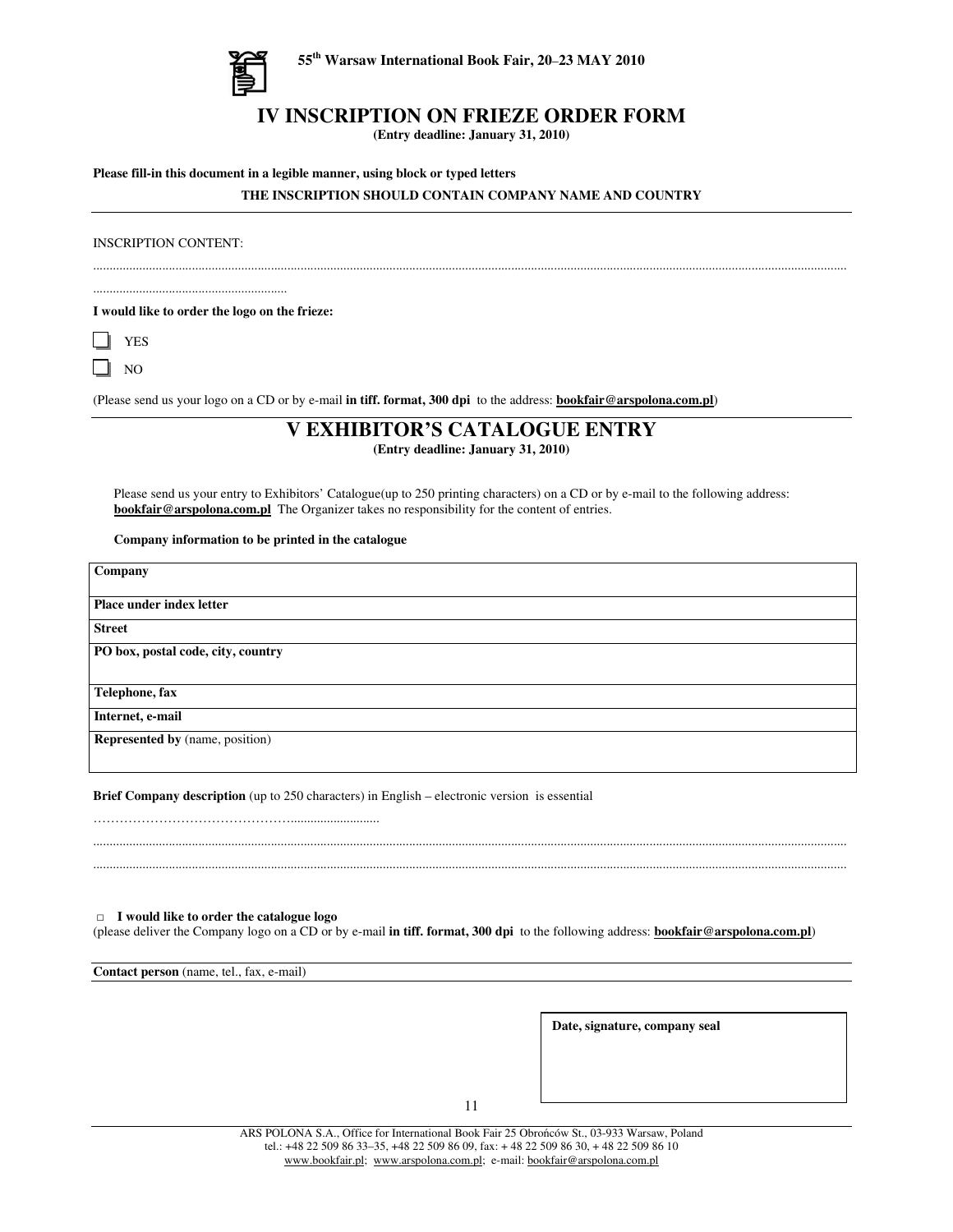

**55 th Warsaw International Book Fair, 20**–**23 MAY 2010**

### **IV INSCRIPTION ON FRIEZE ORDER FORM**

**(Entry deadline: January 31, 2010)**

**Please fill-in this document in a legible manner, using block or typed letters**

### **THE INSCRIPTION SHOULD CONTAIN COMPANY NAME AND COUNTRY**

INSCRIPTION CONTENT:

**I would like to order the logo on the frieze:**

...........................................................

|--|

 $\Box$  NO

(Please send us your logo on a CD or by e-mail **in tiff. format, 300 dpi** to the address: **bookfair@arspolona.com.pl**)

.....................................................................................................................................................................................................................................

### **V EXHIBITOR'S CATALOGUE ENTRY**

**(Entry deadline: January 31, 2010)**

Please send us your entry to Exhibitors' Catalogue(up to 250 printing characters) on a CD or by e-mail to the following address: **bookfair@arspolona.com.pl** The Organizer takes no responsibility for the content of entries.

### **Company information to be printed in the catalogue**

| Company                                |  |  |
|----------------------------------------|--|--|
|                                        |  |  |
| Place under index letter               |  |  |
| <b>Street</b>                          |  |  |
| PO box, postal code, city, country     |  |  |
|                                        |  |  |
| Telephone, fax                         |  |  |
| Internet, e-mail                       |  |  |
| <b>Represented by</b> (name, position) |  |  |
|                                        |  |  |

**Brief Company description** (up to 250 characters) in English – electronic version is essential

### **I would like to order the catalogue logo**

(please deliver the Company logo on a CD or by e-mail **in tiff. format, 300 dpi** to the following address: **bookfair@arspolona.com.pl**)

..................................................................................................................................................................................................................................... .....................................................................................................................................................................................................................................

**Contact person** (name, tel., fax, e-mail)

**Date, signature, company seal**

11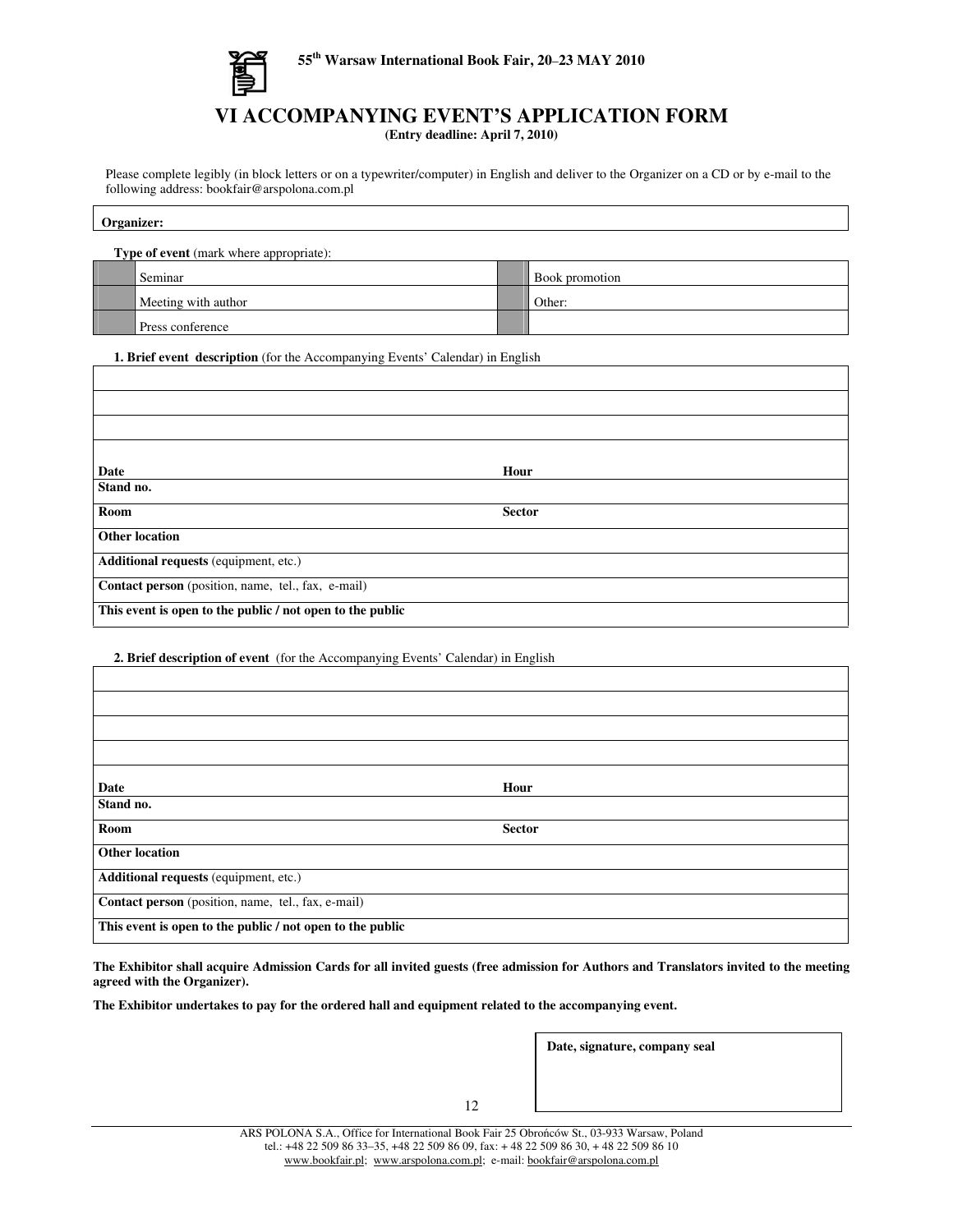

## **VI ACCOMPANYING EVENT'S APPLICATION FORM**

**(Entry deadline: April 7, 2010)**

Please complete legibly (in block letters or on a typewriter/computer) in English and deliver to the Organizer on a CD or by e-mail to the following address: bookfair@arspolona.com.pl

| $\sim$ |  |  |
|--------|--|--|
|        |  |  |

| <b>Type of event</b> (mark where appropriate): |                     |  |                       |  |
|------------------------------------------------|---------------------|--|-----------------------|--|
|                                                | Seminar             |  | <b>Book</b> promotion |  |
|                                                | Meeting with author |  | Other:                |  |
|                                                | Press conference    |  |                       |  |

**1. Brief event description** (for the Accompanying Events' Calendar) in English

| Date                                                      | Hour          |  |
|-----------------------------------------------------------|---------------|--|
| Stand no.                                                 |               |  |
| Room                                                      | <b>Sector</b> |  |
| <b>Other location</b>                                     |               |  |
| Additional requests (equipment, etc.)                     |               |  |
| Contact person (position, name, tel., fax, e-mail)        |               |  |
| This event is open to the public / not open to the public |               |  |

**2. Brief description of event** (for the Accompanying Events' Calendar) in English

| Date                                                      | Hour          |  |  |
|-----------------------------------------------------------|---------------|--|--|
| Stand no.                                                 |               |  |  |
| Room                                                      | <b>Sector</b> |  |  |
| <b>Other location</b>                                     |               |  |  |
| Additional requests (equipment, etc.)                     |               |  |  |
| Contact person (position, name, tel., fax, e-mail)        |               |  |  |
| This event is open to the public / not open to the public |               |  |  |

The Exhibitor shall acquire Admission Cards for all invited guests (free admission for Authors and Translators invited to the meeting **agreed with the Organizer).**

**The Exhibitor undertakes to pay for the ordered hall and equipment related to the accompanying event.**

**Date, signature, company seal**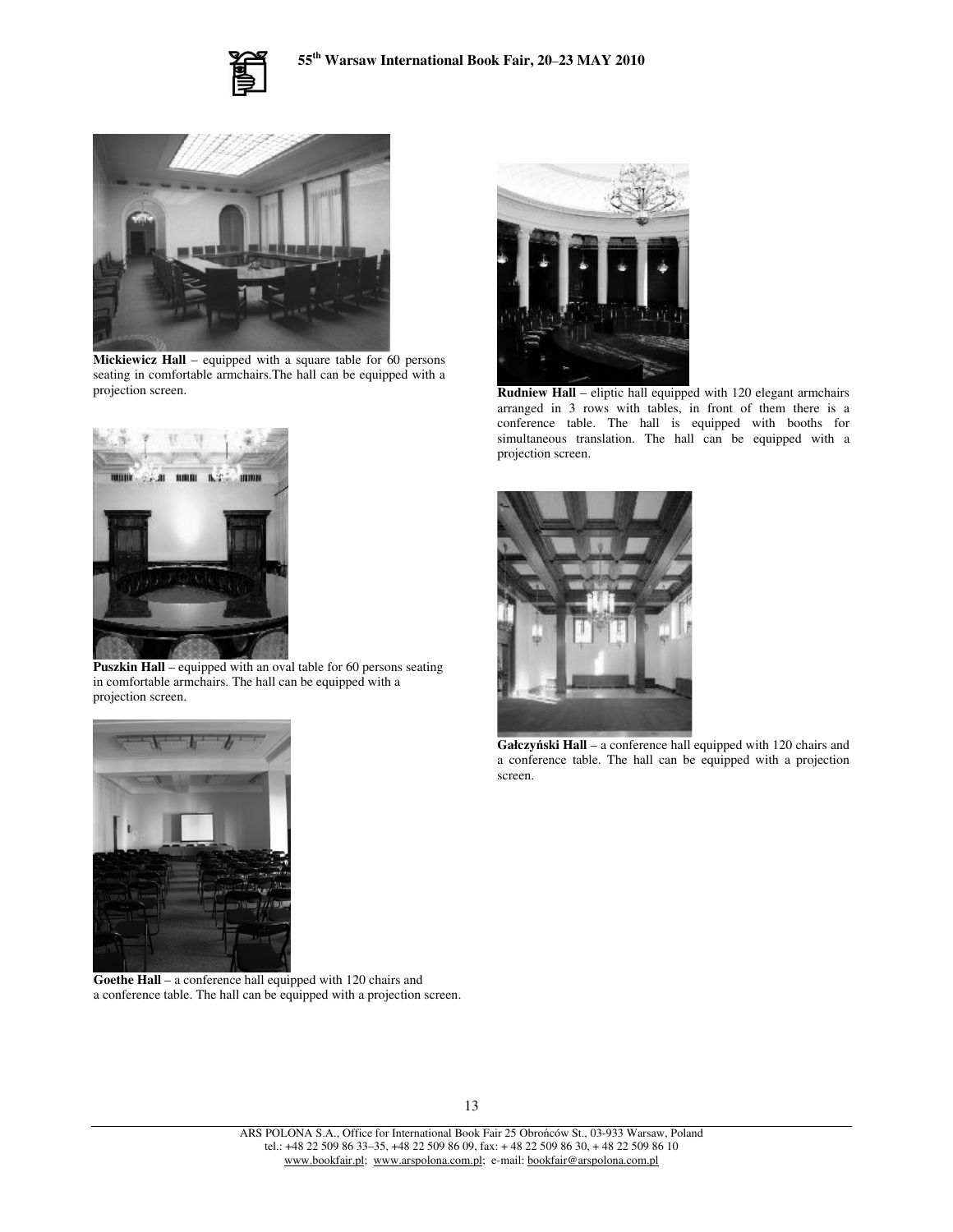



**Mickiewicz Hall** – equipped with a square table for 60 persons seating in comfortable armchairs.The hall can be equipped with a projection screen.



**Puszkin Hall** – equipped with an oval table for 60 persons seating in comfortable armchairs. The hall can be equipped with a projection screen.



**Rudniew Hall** – eliptic hall equipped with 120 elegant armchairs arranged in 3 rows with tables, in front of them there is a conference table. The hall is equipped with booths for simultaneous translation. The hall can be equipped with a projection screen.



**Gałczyski Hall** – a conference hall equipped with 120 chairs and a conference table. The hall can be equipped with a projection screen.



**Goethe Hall** – a conference hall equipped with 120 chairs and a conference table. The hall can be equipped with a projection screen.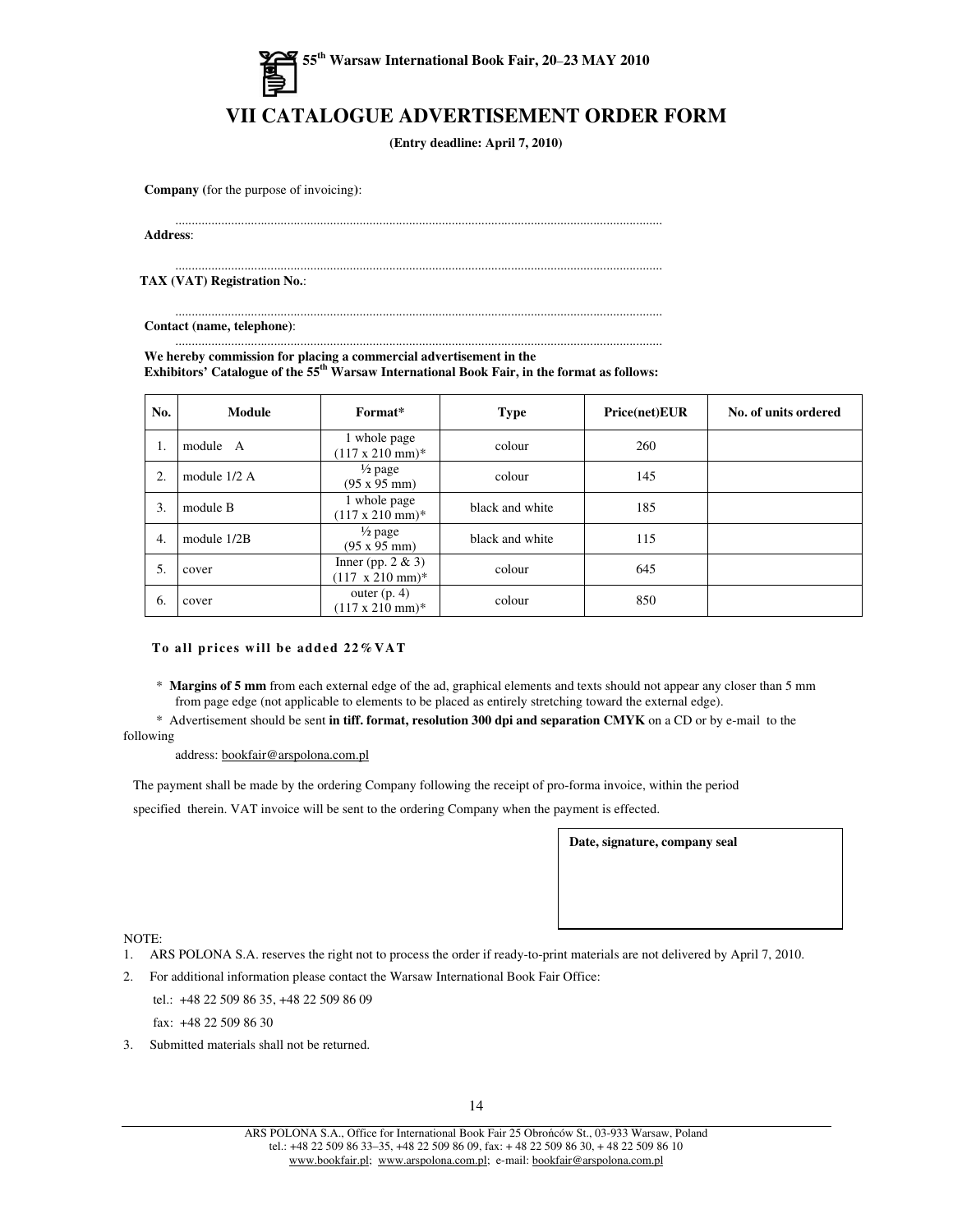

## **VII CATALOGUE ADVERTISEMENT ORDER FORM**

**(Entry deadline: April 7, 2010)**

**Company (**for the purpose of invoicing**)**:

....................................................................................................................................................

**Address**:

.................................................................................................................................................... **TAX (VAT) Registration No.**:

.................................................................................................................................................... **Contact (name, telephone)**:

.................................................................................................................................................... **We hereby commission for placing a commercial advertisement in the Exhibitors' Catalogue of the 55 th Warsaw International Book Fair, in the format as follows:**

| No. | Module       | Format*                                                 | <b>Type</b>     | Price(net)EUR | No. of units ordered |
|-----|--------------|---------------------------------------------------------|-----------------|---------------|----------------------|
| 1.  | module A     | 1 whole page<br>$(117 \times 210 \text{ mm})^*$         | colour          | 260           |                      |
| 2.  | module 1/2 A | $\frac{1}{2}$ page<br>(95 x 95 mm)                      | colour          | 145           |                      |
| 3.  | module B     | 1 whole page<br>$(117 \times 210 \text{ mm})$ *         | black and white | 185           |                      |
| 4.  | module 1/2B  | $\frac{1}{2}$ page<br>$(95 \times 95 \text{ mm})$       | black and white | 115           |                      |
| 5.  | cover        | Inner (pp. $2 & 3$ )<br>$(117 \times 210 \text{ mm})^*$ | colour          | 645           |                      |
| 6.  | cover        | outer $(p, 4)$<br>$(117 \times 210 \text{ mm})^*$       | colour          | 850           |                      |

### **To all pr i ce s will be added 22%VAT**

- \* **Margins of 5 mm** from each external edge of the ad, graphical elements and texts should not appear any closer than 5 mm from page edge (not applicable to elements to be placed as entirely stretching toward the external edge).
- \* Advertisement should be sent **in tiff. format, resolution 300 dpi and separation CMYK** on a CD or by e-mail to the following

### address: bookfair@arspolona.com.pl

The payment shall be made by the ordering Company following the receipt of pro-forma invoice, within the period

specified therein. VAT invoice will be sent to the ordering Company when the payment is effected.

**Date, signature, company seal**

### NOTE:

- 1. ARS POLONA S.A. reserves the right not to process the order if ready-to-print materials are not delivered by April 7, 2010.
- 2. For additional information please contact the Warsaw International Book Fair Office:
	- tel.: +48 22 509 86 35, +48 22 509 86 09 fax: +48 22 509 86 30
- 3. Submitted materials shall not be returned.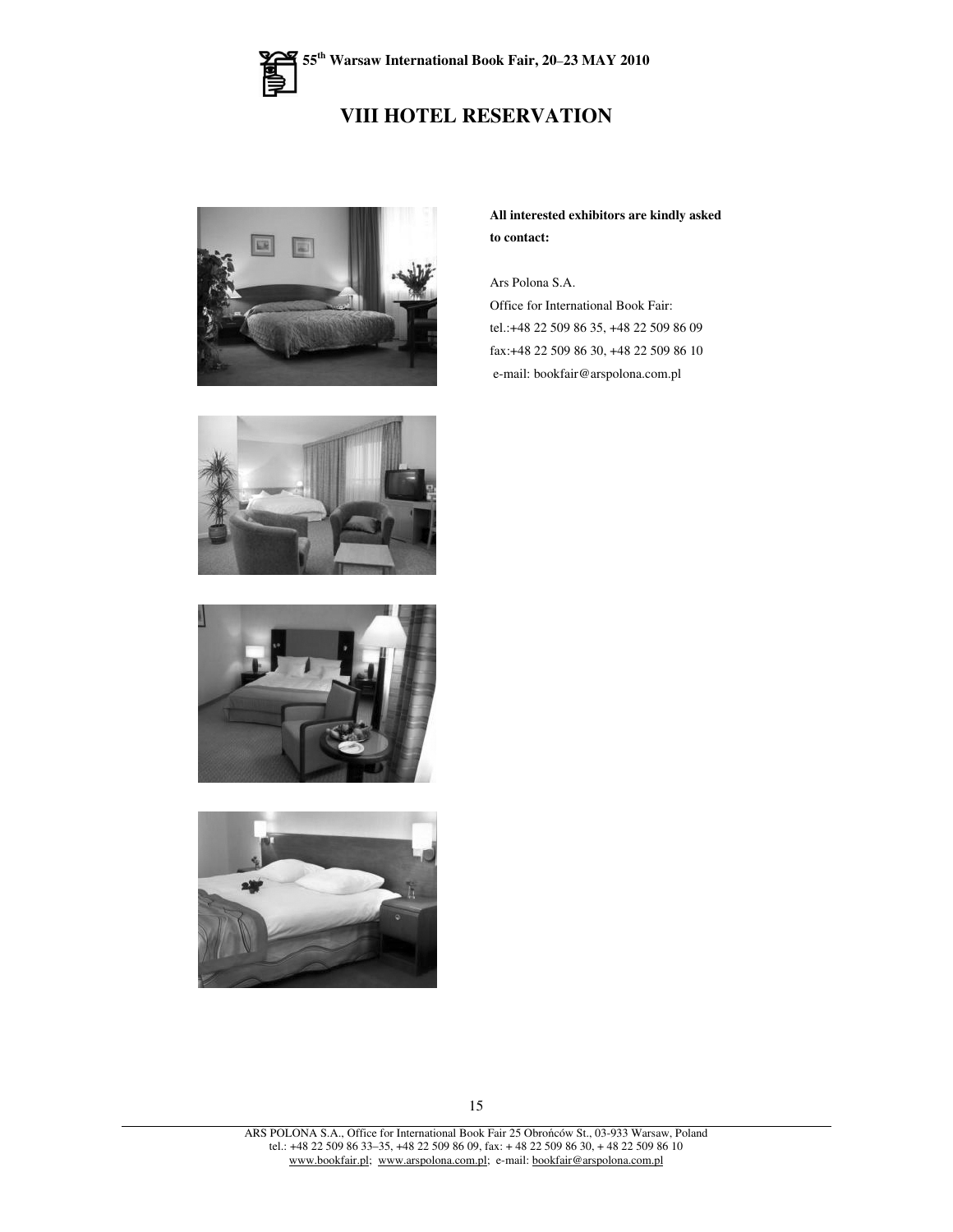## **VIII HOTEL RESERVATION**



**All interested exhibitors are kindly asked to contact:**

Ars Polona S.A.

Office for International Book Fair: tel.:+48 22 509 86 35, +48 22 509 86 09 fax:+48 22 509 86 30, +48 22 509 86 10 e-mail: bookfair@arspolona.com.pl